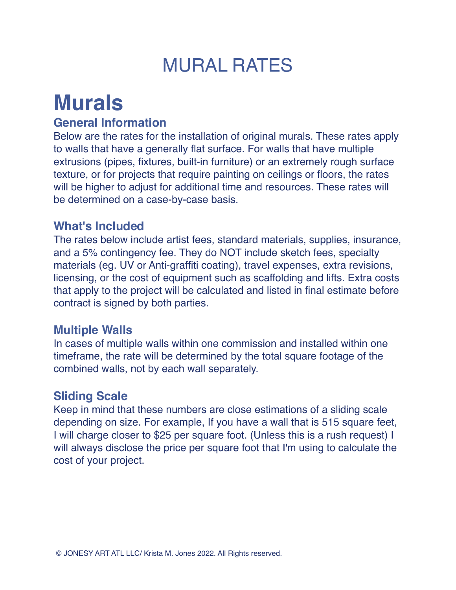## MURAL RATES

# **Murals**

#### **General Information**

Below are the rates for the installation of original murals. These rates apply to walls that have a generally flat surface. For walls that have multiple extrusions (pipes, fixtures, built-in furniture) or an extremely rough surface texture, or for projects that require painting on ceilings or floors, the rates will be higher to adjust for additional time and resources. These rates will be determined on a case-by-case basis.

#### **What's Included**

The rates below include artist fees, standard materials, supplies, insurance, and a 5% contingency fee. They do NOT include sketch fees, specialty materials (eg. UV or Anti-graffiti coating), travel expenses, extra revisions, licensing, or the cost of equipment such as scaffolding and lifts. Extra costs that apply to the project will be calculated and listed in final estimate before contract is signed by both parties.

#### **Multiple Walls**

In cases of multiple walls within one commission and installed within one timeframe, the rate will be determined by the total square footage of the combined walls, not by each wall separately.

#### **Sliding Scale**

Keep in mind that these numbers are close estimations of a sliding scale depending on size. For example, If you have a wall that is 515 square feet, I will charge closer to \$25 per square foot. (Unless this is a rush request) I will always disclose the price per square foot that I'm using to calculate the cost of your project.